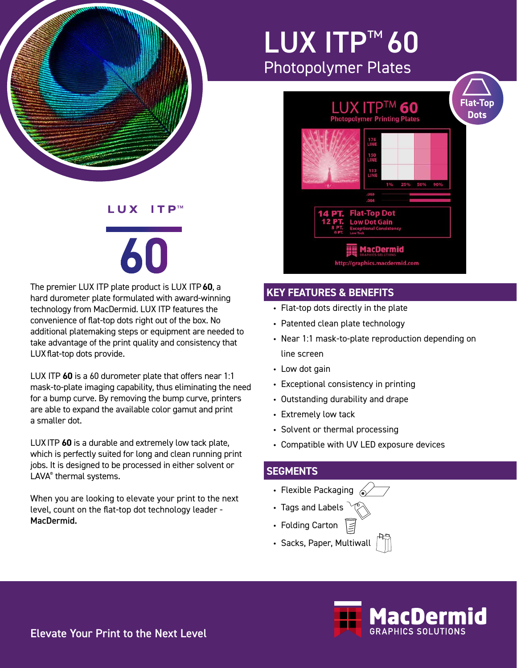

## LUX ITP™ 60 Photopolymer Plates



## **KEY FEATURES & BENEFITS**

- Flat-top dots directly in the plate
- Patented clean plate technology
- Near 1:1 mask-to-plate reproduction depending on line screen
- Low dot gain
- Exceptional consistency in printing
- Outstanding durability and drape
- Extremely low tack
- Solvent or thermal processing
- Compatible with UV LED exposure devices

## **SEGMENTS**

- Flexible Packaging  $\sqrt{\phantom{a}}$
- Tags and Labels
- Folding Carton
- Sacks, Paper, Multiwall



### LUX  $ITP^m$

# 60

The premier LUX ITP plate product is LUX ITP**60**, a hard durometer plate formulated with award-winning technology from MacDermid. LUX ITP features the convenience of flat-top dots right out of the box. No additional platemaking steps or equipment are needed to take advantage of the print quality and consistency that LUX flat-top dots provide.

LUX ITP **60** is a 60 durometer plate that offers near 1:1 mask-to-plate imaging capability, thus eliminating the need for a bump curve. By removing the bump curve, printers are able to expand the available color gamut and print a smaller dot.

LUXITP **60** is a durable and extremely low tack plate, which is perfectly suited for long and clean running print jobs. It is designed to be processed in either solvent or LAVA® thermal systems.

When you are looking to elevate your print to the next level, count on the flat-top dot technology leader - MacDermid.